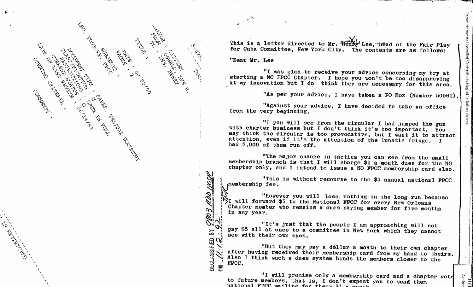

I \ This is a letter directed to Mr. "Henry" Lee, "head of the Fair Play for Cuba Committee, New York City. The contents are as follows:

"Dear Mr. Lee

, i.e., i.e., i.e., i.e., i.e., i.e., i.e., i.e., i.e., i.e., i.e., i.e., i.e., i.e., i.e., i.e., i.e., i.e., i.e., i.e., i.e., i.e., i.e., i.e., i.e., i.e., i.e., i.e., i.e., i.e., i.e., i.e., i.e., i.e., i.e., i.e., i.e

 $\mathscr{C}$ 

~8 •

w:

"I was glad to receive your advice concerning my try at starting a NO FPCC Chapter. I hope you won't be too disapproving at my innovation but I do think they are necessary for this area.

"As per your advice, I have taken a PO Box (Number 50061).

Unclassified / Declassified Holdings of the National Archiv

"Against your advice, I have decided to take an office from the very beginning.

"I you will see from the circular I had jumped the gun with charter business but I don't think it's too important. You may think the circular is too provocative, but I want it to attract attention, even if it's the attention of the lunatic fringe. I had 2,000 of them run off.

"The major change in tactics you can see from the small membership branch is that I will charge \$1 a month dues for the NO chapter only, and I intend to issue a NO FPCC membership card also.

"This is without recourse to the \$5 annual national FPCC where  $\mathbf{r}$  is the set of  $\mathbf{r}$  is the set of  $\mathbf{r}$  is the set of  $\mathbf{r}$  is the set of  $\mathbf{r}$ 

Will inverse you will lose nothing in the long run because<br>I. will forward \$5 to the National FPCC for every New Orleans<br>"Chapter member who remains a dues paying member for five months" in any year.

"It's just that the people I am approaching will not :  $\sum_{i=1}^{\infty}$  pay \$5 all at once to a committee in New York which they cannot see with their own eyes.  $\mathbb{E}[\hat{\mathcal{L}}_i]$ 

That they may pay a dollar a month to their own chapter<br>after having received their membership card from my hand to theirs.<br>Also I think such a dues system binds the members closer to the<br>BEC.

"I will promise only a membership card and a chapter vote<br>to future members, that is, I don't expect you to send them<br>national FPCC mailing for their #1 e menth